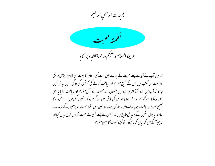بسمه اللد الرحمن الرحيم



قارئین آپ نے آج سے پہلے محبت کے بارے میں بہت کحچھ سنا ہو گا بہت سی تفاسیر پڑھی ہو نگی اور بہت سی کتب میں اس کے صحیح مفہوم کو دریافت کرنے کی کوشش کی ہوگی۔میں یہ نو نہیں جا نتا کہ آپ میں سے کتنے افراد ایسے ہیں حسوں نے محبت کے صحیح مفہوم کو دریافت کرلیا یا ابھی بھی ہوسکتا ہے تحچھ افرا د ایسے ہوں حواس کی تلاش میں سر گرم ہو کہ انہیں کسی طرح سے محبت کا صحیح مفہوم دریافت ہوجائے۔انشاء اللہ آج حب قارئین اس نغمئہ محبت کو پڑھیں گے نووہ بے ساختہ ہہ بول اٹھیں گے د نیا کی تاریخ میں نہ تواس سے پہلے کسی نے محبت کو اس طرح بیان کیا اور نہ ہی آگے چل کر بیان کر یائینگے۔ تولیجئے محبت کااصلی مفهوم :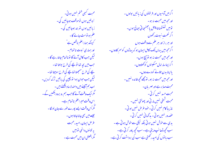محبت کبھی ختم نہیں ہوتی۔ نبوتیں ہوں توموقف ہوجائیں گی۔ زیانیں ہوں تو بند ہوجائیں گی۔ علم ہو تو مٹ جانے گا۔ کیونکہ ہماراعلم ناقص ہے ل اور ہماری نبوت ناتمام -لیکن *جب کامل آنے گا* توناتمام جاتارہے گا۔ جب میں بجہ تھا تو یچے کی طرح بولتا تھا۔ یجے کی طرح سمجھتا تھانچے کی طرح سوچتا تھا۔ کیکن جب حوان ہوا تو بچپن کی باتیں ترک کردیں۔ اب ہم آئیسے میں دھندلاسا دیکھتے ہیں ۔ گرایک وقت آنے گاجپ ہم رو برو دیکھیں گے ۔ اس وقت میراعلم ناتمام ہے۔ گمراُس وقت اپسے پورے طور سے حان لو لگا -جیسے میں بھی جانا جاتا ہوں ۔ غرض ایمان، امید، محبت په تيسوں دائمی تو پيس گمرافضل ان میں محبت ہے ۔

اگرمیں آدمیوں اور فرشتوں کی زبانیں بولوں۔ ا**ور محمه میں محبت نہ ہو۔** توميں ٹھنٹھناتا پيتل باجھنجا تی جانج ہوں۔ اگر نعمت نبوت رکھوں اور ہر راز اور ہر علم سے واقف ہوں ا گرمجھ میں یہاں تک کامل ایمان ہو کہ یہاڑوں کو سمر کادوں۔ اور مح<u>ص<sup>میں محبت نہ ہو تو بہج</u> ہوں۔</u></sup> ا گراپناسارامال مسکینوں کو کھلادوں۔ یاا پنا بدن جلانے کو دے دوں۔ اور مجھ میں محبت نہ ہو، تومجھے کجھ فائدہ نہیں ۔ محبت صا بر ہے اور مہریان۔ محبت حسد نہیں کرتی۔ محبت شیخی نهیں مار تی اور پھولتی نہیں ۔ نازیبا کام نهیں کرتی۔خود عرّض نہیں ہوتی۔ عصہ ور نہیں ہوتی۔ مدحمانی نہیں کرتی۔ یدی سے خوش نہیں ہوتی بلکہ نیکی سے خوش ہوتی ہے ۔ سب کحیحہ ڈھانپ دیتی ہے ۔سب کحیھ باور کرتی ہے ۔ سب یا نوں کی ا*مید رکھتی ہے سب کی برد*اشت کرتی ہے۔